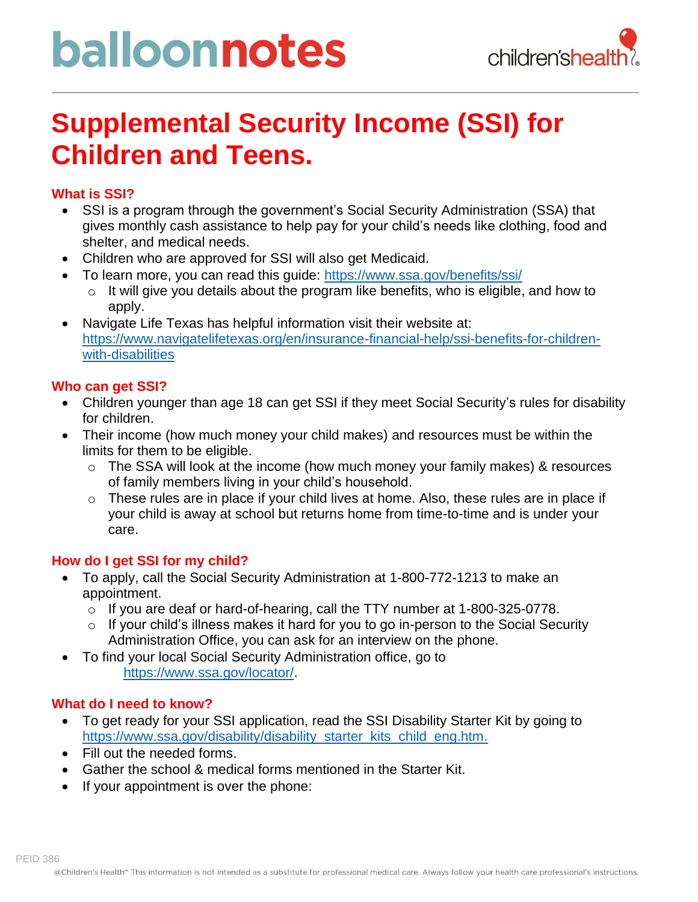# balloonnotes



### **Supplemental Security Income (SSI) for Children and Teens.**

#### **What is SSI?**

- SSI is a program through the government's Social Security Administration (SSA) that gives monthly cash assistance to help pay for your child's needs like clothing, food and shelter, and medical needs.
- Children who are approved for SSI will also get Medicaid.
- To learn more, you can read this guide:<https://www.ssa.gov/benefits/ssi/>
	- o It will give you details about the program like benefits, who is eligible, and how to apply.
- Navigate Life Texas has helpful information visit their website at: [https://www.navigatelifetexas.org/en/insurance-financial-help/ssi-benefits-for-children](https://www.navigatelifetexas.org/en/insurance-financial-help/ssi-benefits-for-children-with-disabilities)[with-disabilities](https://www.navigatelifetexas.org/en/insurance-financial-help/ssi-benefits-for-children-with-disabilities)

#### **Who can get SSI?**

- Children younger than age 18 can get SSI if they meet Social Security's rules for disability for children.
- Their income (how much money your child makes) and resources must be within the limits for them to be eligible.
	- o The SSA will look at the income (how much money your family makes) & resources of family members living in your child's household.
	- $\circ$  These rules are in place if your child lives at home. Also, these rules are in place if your child is away at school but returns home from time-to-time and is under your care.

#### **How do I get SSI for my child?**

- To apply, call the Social Security Administration at 1-800-772-1213 to make an appointment.
	- o If you are deaf or hard-of-hearing, call the TTY number at 1-800-325-0778.
	- $\circ$  If your child's illness makes it hard for you to go in-person to the Social Security Administration Office, you can ask for an interview on the phone.
- To find your local Social Security Administration office, go to [https://www.ssa.gov/locator/.](https://www.ssa.gov/locator/)

#### **What do I need to know?**

- To get ready for your SSI application, read the SSI Disability Starter Kit by going to [https://www.ssa.gov/disability/disability\\_starter\\_kits\\_child\\_eng.htm.](https://www.ssa.gov/disability/disability_starter_kits_child_eng.htm)
- Fill out the needed forms.
- Gather the school & medical forms mentioned in the Starter Kit.
- If your appointment is over the phone: